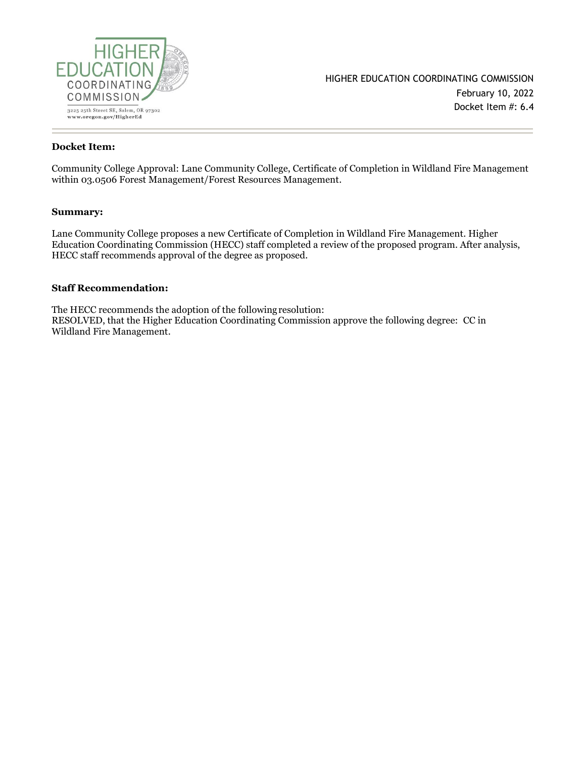

#### **Docket Item:**

Community College Approval: Lane Community College, Certificate of Completion in Wildland Fire Management within 03.0506 Forest Management/Forest Resources Management.

#### **Summary:**

Lane Community College proposes a new Certificate of Completion in Wildland Fire Management. Higher Education Coordinating Commission (HECC) staff completed a review of the proposed program. After analysis, HECC staff recommends approval of the degree as proposed.

#### **Staff Recommendation:**

The HECC recommends the adoption of the followingresolution: RESOLVED, that the Higher Education Coordinating Commission approve the following degree: CC in Wildland Fire Management.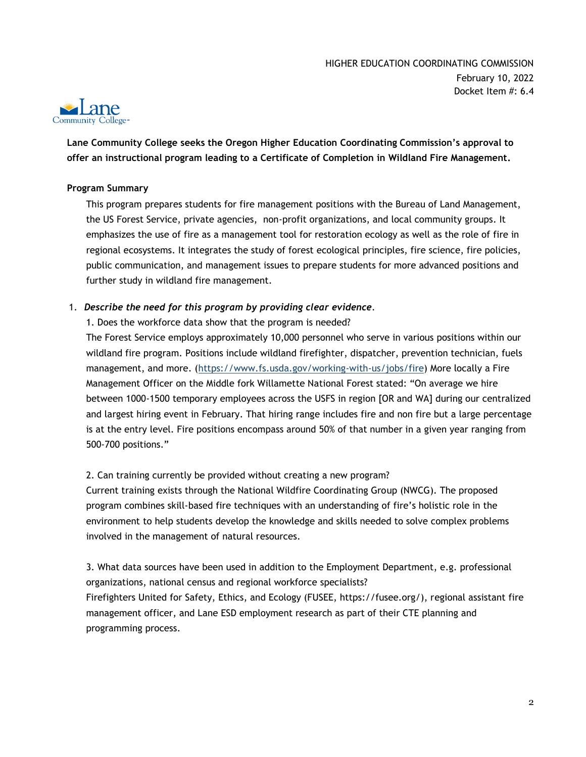

**Lane Community College seeks the Oregon Higher Education Coordinating Commission's approval to offer an instructional program leading to a Certificate of Completion in Wildland Fire Management.**

## **Program Summary**

This program prepares students for fire management positions with the Bureau of Land Management, the US Forest Service, private agencies, non-profit organizations, and local community groups. It emphasizes the use of fire as a management tool for restoration ecology as well as the role of fire in regional ecosystems. It integrates the study of forest ecological principles, fire science, fire policies, public communication, and management issues to prepare students for more advanced positions and further study in wildland fire management.

## 1. *Describe the need for this program by providing clear evidence.*

1. Does the workforce data show that the program is needed?

The Forest Service employs approximately 10,000 personnel who serve in various positions within our wildland fire program. Positions include wildland firefighter, dispatcher, prevention technician, fuels management, and more. [\(https://www.fs.usda.gov/working-with-us/jobs/fire\)](https://www.fs.usda.gov/working-with-us/jobs/fire) More locally a Fire Management Officer on the Middle fork Willamette National Forest stated: "On average we hire between 1000-1500 temporary employees across the USFS in region [OR and WA] during our centralized and largest hiring event in February. That hiring range includes fire and non fire but a large percentage is at the entry level. Fire positions encompass around 50% of that number in a given year ranging from 500-700 positions."

### 2. Can training currently be provided without creating a new program?

Current training exists through the National Wildfire Coordinating Group (NWCG). The proposed program combines skill-based fire techniques with an understanding of fire's holistic role in the environment to help students develop the knowledge and skills needed to solve complex problems involved in the management of natural resources.

3. What data sources have been used in addition to the Employment Department, e.g. professional organizations, national census and regional workforce specialists? Firefighters United for Safety, Ethics, and Ecology (FUSEE, https://fusee.org/), regional assistant fire management officer, and Lane ESD employment research as part of their CTE planning and programming process.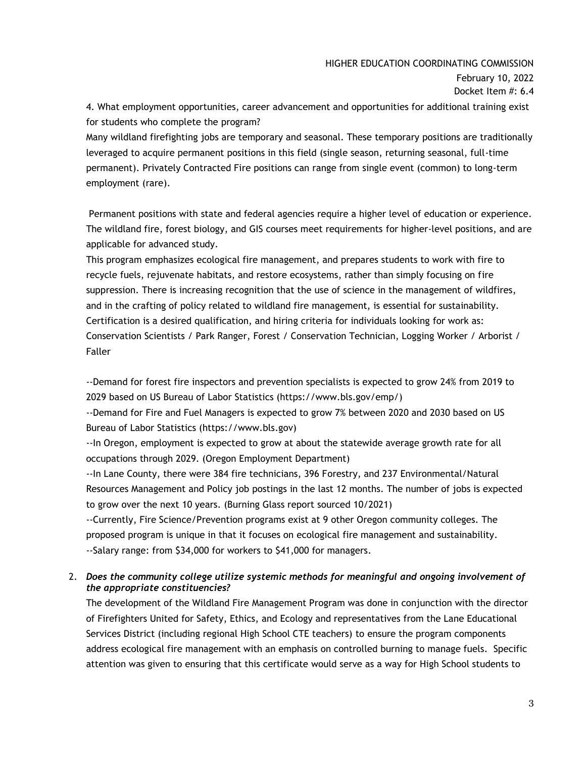### HIGHER EDUCATION COORDINATING COMMISSION

February 10, 2022 Docket Item #: 6.4

4. What employment opportunities, career advancement and opportunities for additional training exist for students who complete the program?

Many wildland firefighting jobs are temporary and seasonal. These temporary positions are traditionally leveraged to acquire permanent positions in this field (single season, returning seasonal, full-time permanent). Privately Contracted Fire positions can range from single event (common) to long-term employment (rare).

Permanent positions with state and federal agencies require a higher level of education or experience. The wildland fire, forest biology, and GIS courses meet requirements for higher-level positions, and are applicable for advanced study.

This program emphasizes ecological fire management, and prepares students to work with fire to recycle fuels, rejuvenate habitats, and restore ecosystems, rather than simply focusing on fire suppression. There is increasing recognition that the use of science in the management of wildfires, and in the crafting of policy related to wildland fire management, is essential for sustainability. Certification is a desired qualification, and hiring criteria for individuals looking for work as: Conservation Scientists / Park Ranger, Forest / Conservation Technician, Logging Worker / Arborist / Faller

--Demand for forest fire inspectors and prevention specialists is expected to grow 24% from 2019 to 2029 based on US Bureau of Labor Statistics (https://www.bls.gov/emp/)

--Demand for Fire and Fuel Managers is expected to grow 7% between 2020 and 2030 based on US Bureau of Labor Statistics (https://www.bls.gov)

--In Oregon, employment is expected to grow at about the statewide average growth rate for all occupations through 2029. (Oregon Employment Department)

--In Lane County, there were 384 fire technicians, 396 Forestry, and 237 Environmental/Natural Resources Management and Policy job postings in the last 12 months. The number of jobs is expected to grow over the next 10 years. (Burning Glass report sourced 10/2021)

--Currently, Fire Science/Prevention programs exist at 9 other Oregon community colleges. The proposed program is unique in that it focuses on ecological fire management and sustainability. --Salary range: from \$34,000 for workers to \$41,000 for managers.

# 2. *Does the community college utilize systemic methods for meaningful and ongoing involvement of the appropriate constituencies?*

The development of the Wildland Fire Management Program was done in conjunction with the director of Firefighters United for Safety, Ethics, and Ecology and representatives from the Lane Educational Services District (including regional High School CTE teachers) to ensure the program components address ecological fire management with an emphasis on controlled burning to manage fuels. Specific attention was given to ensuring that this certificate would serve as a way for High School students to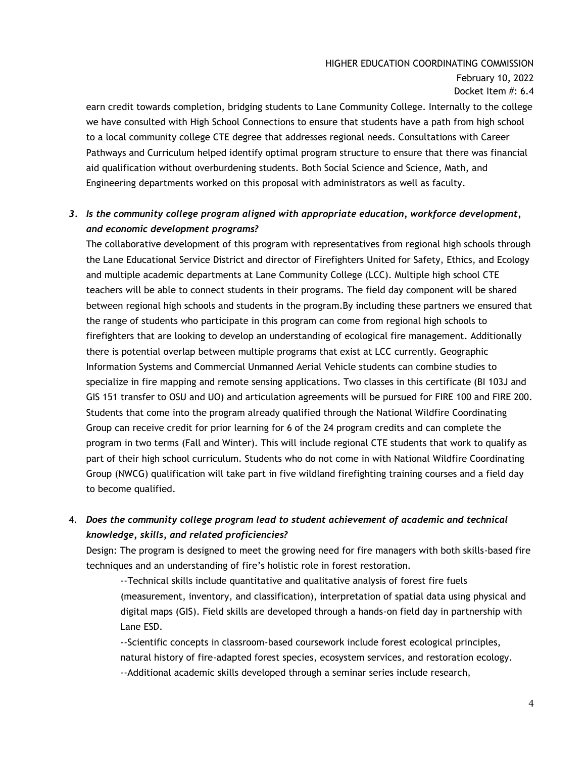# HIGHER EDUCATION COORDINATING COMMISSION

February 10, 2022 Docket Item #: 6.4

earn credit towards completion, bridging students to Lane Community College. Internally to the college we have consulted with High School Connections to ensure that students have a path from high school to a local community college CTE degree that addresses regional needs. Consultations with Career Pathways and Curriculum helped identify optimal program structure to ensure that there was financial aid qualification without overburdening students. Both Social Science and Science, Math, and Engineering departments worked on this proposal with administrators as well as faculty.

# *3. Is the community college program aligned with appropriate education, workforce development, and economic development programs?*

The collaborative development of this program with representatives from regional high schools through the Lane Educational Service District and director of Firefighters United for Safety, Ethics, and Ecology and multiple academic departments at Lane Community College (LCC). Multiple high school CTE teachers will be able to connect students in their programs. The field day component will be shared between regional high schools and students in the program.By including these partners we ensured that the range of students who participate in this program can come from regional high schools to firefighters that are looking to develop an understanding of ecological fire management. Additionally there is potential overlap between multiple programs that exist at LCC currently. Geographic Information Systems and Commercial Unmanned Aerial Vehicle students can combine studies to specialize in fire mapping and remote sensing applications. Two classes in this certificate (BI 103J and GIS 151 transfer to OSU and UO) and articulation agreements will be pursued for FIRE 100 and FIRE 200. Students that come into the program already qualified through the National Wildfire Coordinating Group can receive credit for prior learning for 6 of the 24 program credits and can complete the program in two terms (Fall and Winter). This will include regional CTE students that work to qualify as part of their high school curriculum. Students who do not come in with National Wildfire Coordinating Group (NWCG) qualification will take part in five wildland firefighting training courses and a field day to become qualified.

4. *Does the community college program lead to student achievement of academic and technical knowledge, skills, and related proficiencies?*

Design: The program is designed to meet the growing need for fire managers with both skills-based fire techniques and an understanding of fire's holistic role in forest restoration.

--Technical skills include quantitative and qualitative analysis of forest fire fuels (measurement, inventory, and classification), interpretation of spatial data using physical and digital maps (GIS). Field skills are developed through a hands-on field day in partnership with Lane ESD.

--Scientific concepts in classroom-based coursework include forest ecological principles, natural history of fire-adapted forest species, ecosystem services, and restoration ecology. --Additional academic skills developed through a seminar series include research,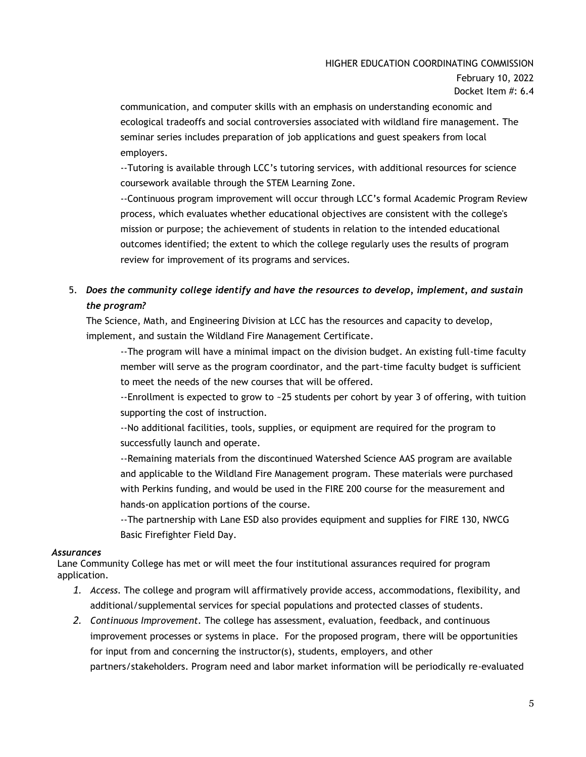## HIGHER EDUCATION COORDINATING COMMISSION

February 10, 2022 Docket Item #: 6.4

communication, and computer skills with an emphasis on understanding economic and ecological tradeoffs and social controversies associated with wildland fire management. The seminar series includes preparation of job applications and guest speakers from local employers.

--Tutoring is available through LCC's tutoring services, with additional resources for science coursework available through the STEM Learning Zone.

--Continuous program improvement will occur through LCC's formal Academic Program Review process, which evaluates whether educational objectives are consistent with the college's mission or purpose; the achievement of students in relation to the intended educational outcomes identified; the extent to which the college regularly uses the results of program review for improvement of its programs and services.

# 5. *Does the community college identify and have the resources to develop, implement, and sustain the program?*

The Science, Math, and Engineering Division at LCC has the resources and capacity to develop, implement, and sustain the Wildland Fire Management Certificate.

--The program will have a minimal impact on the division budget. An existing full-time faculty member will serve as the program coordinator, and the part-time faculty budget is sufficient to meet the needs of the new courses that will be offered.

--Enrollment is expected to grow to ~25 students per cohort by year 3 of offering, with tuition supporting the cost of instruction.

--No additional facilities, tools, supplies, or equipment are required for the program to successfully launch and operate.

--Remaining materials from the discontinued Watershed Science AAS program are available and applicable to the Wildland Fire Management program. These materials were purchased with Perkins funding, and would be used in the FIRE 200 course for the measurement and hands-on application portions of the course.

--The partnership with Lane ESD also provides equipment and supplies for FIRE 130, NWCG Basic Firefighter Field Day.

### *Assurances*

Lane Community College has met or will meet the four institutional assurances required for program application.

- *1. Access.* The college and program will affirmatively provide access, accommodations, flexibility, and additional/supplemental services for special populations and protected classes of students.
- *2. Continuous Improvement.* The college has assessment, evaluation, feedback, and continuous improvement processes or systems in place. For the proposed program, there will be opportunities for input from and concerning the instructor(s), students, employers, and other partners/stakeholders. Program need and labor market information will be periodically re-evaluated